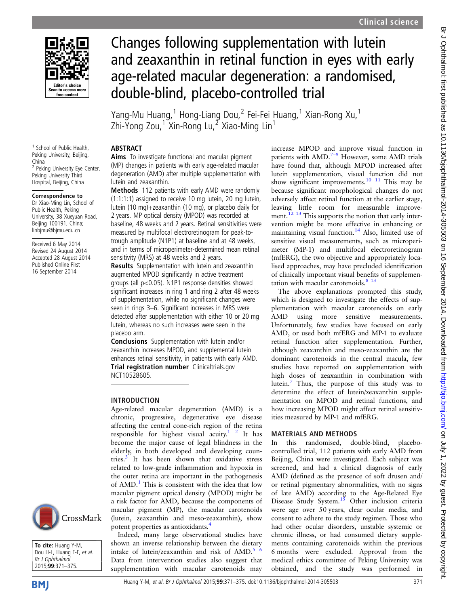

<sup>1</sup> School of Public Health Peking University, Beijing,

<sup>2</sup> Peking University Eye Center, Peking University Third Hospital, Beijing, China Correspondence to Dr Xiao-Ming Lin, School of Public Health, Peking University, 38 Xueyuan Road. Beijing 100191, China; linbjmu@bjmu.edu.cn Received 6 May 2014 Revised 24 August 2014 Accepted 28 August 2014 Published Online First 16 September 2014

China

# Changes following supplementation with lutein and zeaxanthin in retinal function in eyes with early age-related macular degeneration: a randomised, double-blind, placebo-controlled trial

Yang-Mu Huang,<sup>1</sup> Hong-Liang Dou,<sup>2</sup> Fei-Fei Huang,<sup>1</sup> Xian-Rong Xu,<sup>1</sup> Zhi-Yong Zou,<sup>1</sup> Xin-Rong Lu,<sup>2</sup> Xiao-Ming Lin<sup>1</sup>

## ABSTRACT

Aims To investigate functional and macular pigment (MP) changes in patients with early age-related macular degeneration (AMD) after multiple supplementation with lutein and zeaxanthin.

Methods 112 patients with early AMD were randomly (1:1:1:1) assigned to receive 10 mg lutein, 20 mg lutein, lutein (10 mg)+zeaxanthin (10 mg), or placebo daily for 2 years. MP optical density (MPOD) was recorded at baseline, 48 weeks and 2 years. Retinal sensitivities were measured by multifocal electroretinogram for peak-totrough amplitude (N1P1) at baseline and at 48 weeks, and in terms of microperimeter-determined mean retinal sensitivity (MRS) at 48 weeks and 2 years.

Results Supplementation with lutein and zeaxanthin augmented MPOD significantly in active treatment groups (all p<0.05). N1P1 response densities showed significant increases in ring 1 and ring 2 after 48 weeks of supplementation, while no significant changes were seen in rings 3–6. Significant increases in MRS were detected after supplementation with either 10 or 20 mg lutein, whereas no such increases were seen in the placebo arm.

Conclusions Supplementation with lutein and/or zeaxanthin increases MPOD, and supplemental lutein enhances retinal sensitivity, in patients with early AMD. Trial registration number Clinicaltrials.gov NCT10528605.

## INTRODUCTION

Age-related macular degeneration (AMD) is a chronic, progressive, degenerative eye disease affecting the central cone-rich region of the retina responsible for highest visual acuity.<sup>1</sup> <sup>2</sup> It has become the major cause of legal blindness in the elderly, in both developed and developing countries.[3](#page-4-0) It has been shown that oxidative stress related to low-grade inflammation and hypoxia in the outer retina are important in the pathogenesis of AMD.<sup>[1](#page-4-0)</sup> This is consistent with the idea that low macular pigment optical density (MPOD) might be a risk factor for AMD, because the components of macular pigment (MP), the macular carotenoids (lutein, zeaxanthin and meso-zeaxanthin), show potent properties as antioxidants.[4](#page-4-0)

Indeed, many large observational studies have shown an inverse relationship between the dietary intake of lutein/zeaxanthin and risk of AMD.<sup>[5 6](#page-4-0)</sup> Data from intervention studies also suggest that supplementation with macular carotenoids may

increase MPOD and improve visual function in patients with AMD.<sup>7-[9](#page-4-0)</sup> However, some AMD trials have found that, although MPOD increased after lutein supplementation, visual function did not show significant improvements.<sup>10</sup> <sup>11</sup> This may be because significant morphological changes do not adversely affect retinal function at the earlier stage, leaving little room for measurable improvement.<sup> $12$  13</sup> This supports the notion that early intervention might be more effective in enhancing or maintaining visual function. $14$  Also, limited use of sensitive visual measurements, such as microperimeter (MP-1) and multifocal electroretinogram (mfERG), the two objective and appropriately localised approaches, may have precluded identification of clinically important visual benefits of supplementation with macular carotenoids. $813$ 

The above explanations prompted this study, which is designed to investigate the effects of supplementation with macular carotenoids on early AMD using more sensitive measurements. Unfortunately, few studies have focused on early AMD, or used both mfERG and MP-1 to evaluate retinal function after supplementation. Further, although zeaxanthin and meso-zeaxanthin are the dominant carotenoids in the central macula, few studies have reported on supplementation with high doses of zeaxanthin in combination with lutein.[7](#page-4-0) Thus, the purpose of this study was to determine the effect of lutein/zeaxanthin supplementation on MPOD and retinal functions, and how increasing MPOD might affect retinal sensitivities measured by MP-1 and mfERG.

## MATERIALS AND METHODS

In this randomised, double-blind, placebocontrolled trial, 112 patients with early AMD from Beijing, China were investigated. Each subject was screened, and had a clinical diagnosis of early AMD (defined as the presence of soft drusen and/ or retinal pigmentary abnormalities, with no signs of late AMD) according to the Age-Related Eye Disease Study System.<sup>15</sup> Other inclusion criteria were age over 50 years, clear ocular media, and consent to adhere to the study regimen. Those who had other ocular disorders, unstable systemic or chronic illness, or had consumed dietary supplements containing carotenoids within the previous 6 months were excluded. Approval from the medical ethics committee of Peking University was obtained, and the study was performed in



To cite: Huang Y-M, Dou H-L, Huang F-F, et al. Br J Ophthalmol 2015;99:371–375.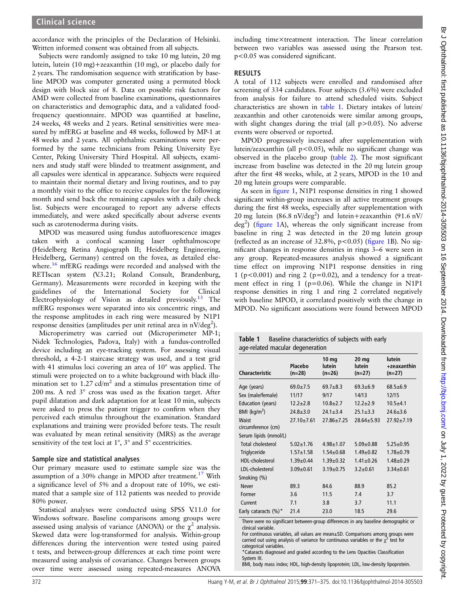accordance with the principles of the Declaration of Helsinki. Written informed consent was obtained from all subjects.

Subjects were randomly assigned to take 10 mg lutein, 20 mg lutein, lutein (10 mg)+zeaxanthin (10 mg), or placebo daily for 2 years. The randomisation sequence with stratification by baseline MPOD was computer generated using a permuted block design with block size of 8. Data on possible risk factors for AMD were collected from baseline examinations, questionnaires on characteristics and demographic data, and a validated foodfrequency questionnaire. MPOD was quantified at baseline, 24 weeks, 48 weeks and 2 years. Retinal sensitivities were measured by mfERG at baseline and 48 weeks, followed by MP-1 at 48 weeks and 2 years. All ophthalmic examinations were performed by the same technicians from Peking University Eye Center, Peking University Third Hospital. All subjects, examiners and study staff were blinded to treatment assignment, and all capsules were identical in appearance. Subjects were required to maintain their normal dietary and living routines, and to pay a monthly visit to the office to receive capsules for the following month and send back the remaining capsules with a daily check list. Subjects were encouraged to report any adverse effects immediately, and were asked specifically about adverse events such as carotenoderma during visits.

MPOD was measured using fundus autofluorescence images taken with a confocal scanning laser ophthalmoscope (Heidelberg Retina Angiograph II; Heidelberg Engineering, Heidelberg, Germany) centred on the fovea, as detailed else-where.<sup>[16](#page-4-0)</sup> mfERG readings were recorded and analysed with the RETIscan system (V.3.21; Roland Consult, Brandenburg, Germany). Measurements were recorded in keeping with the guidelines of the International Society for Clinical Electrophysiology of Vision as detailed previously.<sup>[13](#page-4-0)</sup> The mfERG responses were separated into six concentric rings, and the response amplitudes in each ring were measured by N1P1 response densities (amplitudes per unit retinal area in nV/deg<sup>2</sup>).

Microperimetry was carried out (Microperimeter MP-1; Nidek Technologies, Padova, Italy) with a fundus-controlled device including an eye-tracking system. For assessing visual threshold, a 4-2-1 staircase strategy was used, and a test grid with 41 stimulus loci covering an area of 10° was applied. The stimuli were projected on to a white background with black illumination set to  $1.27 \text{ cd/m}^2$  and a stimulus presentation time of 200 ms. A red 3° cross was used as the fixation target. After pupil dilatation and dark adaptation for at least 10 min, subjects were asked to press the patient trigger to confirm when they perceived each stimulus throughout the examination. Standard explanations and training were provided before tests. The result was evaluated by mean retinal sensitivity (MRS) as the average sensitivity of the test loci at 1°, 3° and 5° eccentricities.

#### Sample size and statistical analyses

Our primary measure used to estimate sample size was the assumption of a 30% change in MPOD after treatment.<sup>17</sup> With a significance level of 5% and a dropout rate of 10%, we estimated that a sample size of 112 patients was needed to provide 80% power.

Statistical analyses were conducted using SPSS V.11.0 for Windows software. Baseline comparisons among groups were assessed using analysis of variance (ANOVA) or the  $\chi^2$  analysis. Skewed data were log-transformed for analysis. Within-group differences during the intervention were tested using paired t tests, and between-group differences at each time point were measured using analysis of covariance. Changes between groups over time were assessed using repeated-measures ANOVA

including time×treatment interaction. The linear correlation between two variables was assessed using the Pearson test. p<0.05 was considered significant.

### RESULTS

A total of 112 subjects were enrolled and randomised after screening of 334 candidates. Four subjects (3.6%) were excluded from analysis for failure to attend scheduled visits. Subject characteristics are shown in table 1. Dietary intakes of lutein/ zeaxanthin and other carotenoids were similar among groups, with slight changes during the trial (all  $p > 0.05$ ). No adverse events were observed or reported.

MPOD progressively increased after supplementation with lutein/zeaxanthin (all  $p < 0.05$ ), while no significant change was observed in the placebo group ([table 2](#page-2-0)). The most significant increase from baseline was detected in the 20 mg lutein group after the first 48 weeks, while, at 2 years, MPOD in the 10 and 20 mg lutein groups were comparable.

As seen in fi[gure 1,](#page-2-0) N1P1 response densities in ring 1 showed significant within-group increases in all active treatment groups during the first 48 weeks, especially after supplementation with 20 mg lutein  $(86.8 \text{ nV/deg}^2)$  and lutein+zeaxanthin  $(91.6 \text{ nV/}$ deg<sup>2</sup>) (fi[gure 1A](#page-2-0)), whereas the only significant increase from baseline in ring 2 was detected in the 20 mg lutein group (reflected as an increase of  $32.8\%$ ,  $p < 0.05$ ) (fi[gure 1](#page-2-0)B). No significant changes in response densities in rings 3–6 were seen in any group. Repeated-measures analysis showed a significant time effect on improving N1P1 response densities in ring 1 ( $p<0.001$ ) and ring 2 ( $p=0.02$ ), and a tendency for a treatment effect in ring 1 (p=0.06). While the change in N1P1 response densities in ring 1 and ring 2 correlated negatively with baseline MPOD, it correlated positively with the change in MPOD. No significant associations were found between MPOD

|  | <b>Table 1</b> Baseline characteristics of subjects with early |  |
|--|----------------------------------------------------------------|--|
|  | age-related macular degeneration                               |  |

| <b>Characteristic</b>       | Placebo<br>$(n=28)$ | 10 <sub>mg</sub><br>lutein<br>$(n=26)$ | 20 <sub>mg</sub><br><b>lutein</b><br>$(n=27)$ | lutein<br>+zeaxanthin<br>$(n=27)$ |
|-----------------------------|---------------------|----------------------------------------|-----------------------------------------------|-----------------------------------|
| Age (years)                 | $69.0 \pm 7.5$      | $69.7 + 8.3$                           | $69.3 + 6.9$                                  | $68.5 \pm 6.9$                    |
| Sex (male/female)           | 11/17               | 9/17                                   | 14/13                                         | 12/15                             |
| Education (years)           | $12.2 \pm 2.8$      | $10.8 + 2.7$                           | $12.2 \pm 2.9$                                | $10.5 + 4.1$                      |
| BMI ( $\text{kg/m}^2$ )     | $24.8 \pm 3.0$      | $24.1 \pm 3.4$                         | $25.1 \pm 3.3$                                | $24.6 \pm 3.6$                    |
| Waist<br>circumference (cm) | $27.10 \pm 7.61$    | $27.86 \pm 7.25$                       | $28.64 \pm 5.93$                              | $27.92 \pm 7.19$                  |
| Serum lipids (mmol/L)       |                     |                                        |                                               |                                   |
| Total cholesterol           | $5.02 + 1.76$       | $4.98 \pm 1.07$                        | $5.09 \pm 0.88$                               | $5.25 \pm 0.95$                   |
| Triglyceride                | $1.57 + 1.58$       | $1.54 \pm 0.68$                        | $1.49 + 0.82$                                 | $1.78 + 0.79$                     |
| HDL-cholesterol             | $1.39 + 0.44$       | $1.39 + 0.32$                          | $1.41 \pm 0.26$                               | $1.48 + 0.29$                     |
| LDL-cholesterol             | $3.09 \pm 0.61$     | $3.19 \pm 0.75$                        | $3.2 \pm 0.61$                                | $3.34 \pm 0.61$                   |
| Smoking (%)                 |                     |                                        |                                               |                                   |
| Never                       | 89.3                | 84.6                                   | 88.9                                          | 85.2                              |
| Former                      | 3.6                 | 11.5                                   | 7.4                                           | 3.7                               |
| Current                     | 7.1                 | 3.8                                    | 3.7                                           | 11.1                              |
| Early cataracts (%)*        | 21.4                | 23.0                                   | 18.5                                          | 29.6                              |
|                             |                     |                                        |                                               |                                   |

There were no significant between-group differences in any baseline demographic or clinical variable.

For continuous variables, all values are mean±SD. Comparisons among groups were carried out using analysis of variance for continuous variables or the  $\chi^2$  test for categorical variables.

\*Cataracts diagnosed and graded according to the Lens Opacities Classification System III.

BMI, body mass index; HDL, high-density lipoprotein; LDL, low-density lipoprotein.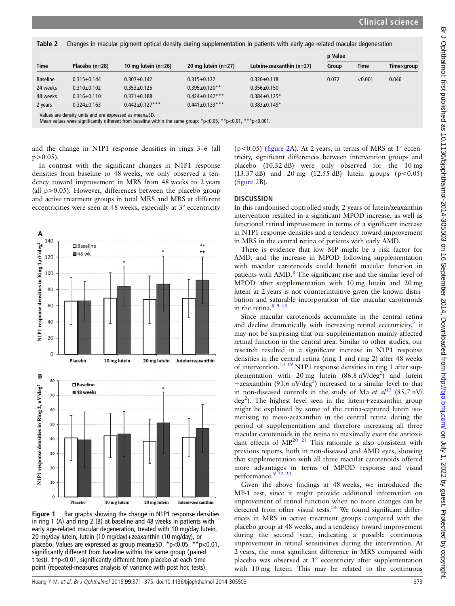<span id="page-2-0"></span>

| Table 2         | Changes in macular pigment optical density during supplementation in patients with early age-related macular degeneration |                       |                       |                            |         |             |            |  |
|-----------------|---------------------------------------------------------------------------------------------------------------------------|-----------------------|-----------------------|----------------------------|---------|-------------|------------|--|
| <b>Time</b>     | Placebo (n=28)                                                                                                            | 10 mg lutein $(n=26)$ | 20 mg lutein $(n=27)$ | Lutein+zeaxanthin $(n=27)$ | p Value |             |            |  |
|                 |                                                                                                                           |                       |                       |                            | Group   | <b>Time</b> | Timexgroup |  |
| <b>Baseline</b> | $0.315 \pm 0.144$                                                                                                         | $0.307 + 0.142$       | $0.315 \pm 0.122$     | $0.320 \pm 0.118$          | 0.072   | < 0.001     | 0.046      |  |
| 24 weeks        | $0.310+0.102$                                                                                                             | $0.353 + 0.125$       | $0.395 \pm 0.120**$   | $0.356 \pm 0.150$          |         |             |            |  |
| 48 weeks        | $0.316 \pm 0.110$                                                                                                         | $0.371 \pm 0.188$     | $0.424 \pm 0.142$ *** | $0.384 \pm 0.125$ *        |         |             |            |  |
| 2 years         | $0.324 \pm 0.163$                                                                                                         | $0.442 \pm 0.127***$  | $0.441 \pm 0.133$ *** | $0.383 \pm 0.149*$         |         |             |            |  |
|                 | Values are density units and are expressed as mean+SD                                                                     |                       |                       |                            |         |             |            |  |

Values are density units and are expressed as mean±SD. Mean values were significantly different from baseline within the same group: \*p<0.05, \*\*p<0.01, \*\*\*p<0.001.

and the change in N1P1 response densities in rings 3–6 (all  $p > 0.05$ ).

In contrast with the significant changes in N1P1 response densities from baseline to 48 weeks, we only observed a tendency toward improvement in MRS from 48 weeks to 2 years (all  $p > 0.05$ ). However, differences between the placebo group and active treatment groups in total MRS and MRS at different eccentricities were seen at 48 weeks, especially at 3° eccentricity



Figure 1 Bar graphs showing the change in N1P1 response densities in ring 1 (A) and ring 2 (B) at baseline and 48 weeks in patients with early age-related macular degeneration, treated with 10 mg/day lutein, 20 mg/day lutein, lutein (10 mg/day)+zeaxanthin (10 mg/day), or placebo. Values are expressed as group mean±SD. \*p<0.05, \*\*p<0.01, significantly different from baseline within the same group (paired t test). ††p<0.01, significantly different from placebo at each time point (repeated-measures analysis of variance with post hoc tests).

( $p$ <0.05) (fi[gure 2A](#page-3-0)). At 2 years, in terms of MRS at  $1^{\circ}$  eccentricity, significant differences between intervention groups and placebo (10.32 dB) were only observed for the 10 mg (13.37 dB) and 20 mg (12.55 dB) lutein groups ( $p < 0.05$ ) (fi[gure 2](#page-3-0)B).

#### **DISCUSSION**

In this randomised controlled study, 2 years of lutein/zeaxanthin intervention resulted in a significant MPOD increase, as well as functional retinal improvement in terms of a significant increase in N1P1 response densities and a tendency toward improvement in MRS in the central retina of patients with early AMD.

There is evidence that low MP might be a risk factor for AMD, and the increase in MPOD following supplementation with macular carotenoids could benefit macular function in patients with AMD.<sup>[8](#page-4-0)</sup> The significant rise and the similar level of MPOD after supplementation with 10 mg lutein and 20 mg lutein at 2 years is not counterintuitive given the known distribution and saturable incorporation of the macular carotenoids in the retina. $8918$ 

Since macular carotenoids accumulate in the central retina and decline dramatically with increasing retinal eccentricity, $\overline{a}$  it may not be surprising that our supplementation mainly affected retinal function in the central area. Similar to other studies, our research resulted in a significant increase in N1P1 response densities in the central retina (ring 1 and ring 2) after 48 weeks of intervention.[13 19](#page-4-0) N1P1 response densities in ring 1 after supplementation with 20 mg lutein  $(86.8 \text{ nV/deg}^2)$  and lutein +zeaxanthin (91.6 nV/deg<sup>2</sup>) increased to a similar level to that in non-diseased controls in the study of Ma et  $al^{13}$  $al^{13}$  $al^{13}$  (85.7 nV/ deg<sup>2</sup>). The highest level seen in the lutein+zeaxanthin group might be explained by some of the retina-captured lutein isomerising to meso-zeaxanthin in the central retina during the period of supplementation and therefore increasing all three macular carotenoids in the retina to maximally exert the antioxidant effects of  $MP<sup>20</sup>$  <sup>21</sup> This rationale is also consistent with previous reports, both in non-diseased and AMD eyes, showing that supplementation with all three macular carotenoids offered more advantages in terms of MPOD response and visual performance.<sup>9</sup> <sup>22</sup> <sup>23</sup>

Given the above findings at 48 weeks, we introduced the MP-1 test, since it might provide additional information on improvement of retinal function when no more changes can be detected from other visual tests. $24$  We found significant differences in MRS in active treatment groups compared with the placebo group at 48 weeks, and a tendency toward improvement during the second year, indicating a possible continuous improvement in retinal sensitivities during the intervention. At 2 years, the most significant difference in MRS compared with placebo was observed at 1° eccentricity after supplementation with 10 mg lutein. This may be related to the continuous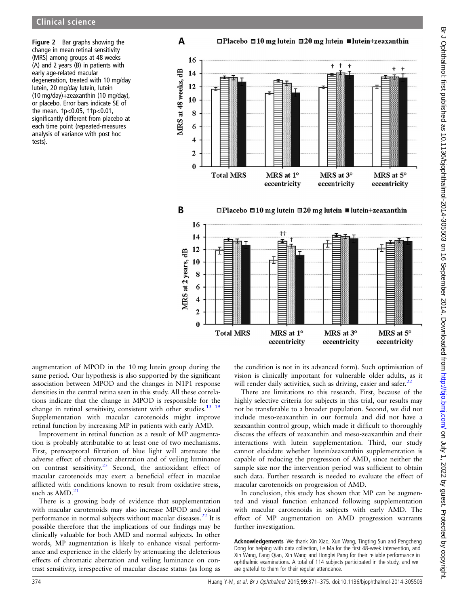<span id="page-3-0"></span>Figure 2 Bar graphs showing the change in mean retinal sensitivity (MRS) among groups at 48 weeks (A) and 2 years (B) in patients with early age-related macular degeneration, treated with 10 mg/day lutein, 20 mg/day lutein, lutein (10 mg/day)+zeaxanthin (10 mg/day), or placebo. Error bars indicate SE of the mean. †p<0.05, ††p<0.01, significantly different from placebo at each time point (repeated-measures analysis of variance with post hoc tests).





augmentation of MPOD in the 10 mg lutein group during the same period. Our hypothesis is also supported by the significant association between MPOD and the changes in N1P1 response densities in the central retina seen in this study. All these correlations indicate that the change in MPOD is responsible for the change in retinal sensitivity, consistent with other studies.<sup>13</sup> <sup>19</sup> Supplementation with macular carotenoids might improve retinal function by increasing MP in patients with early AMD.

Improvement in retinal function as a result of MP augmentation is probably attributable to at least one of two mechanisms. First, prereceptoral filtration of blue light will attenuate the adverse effect of chromatic aberration and of veiling luminance on contrast sensitivity.<sup>[25](#page-4-0)</sup> Second, the antioxidant effect of macular carotenoids may exert a beneficial effect in maculae afflicted with conditions known to result from oxidative stress, such as  $AMD.^21$  $AMD.^21$ 

There is a growing body of evidence that supplementation with macular carotenoids may also increase MPOD and visual performance in normal subjects without macular diseases. $22$  It is possible therefore that the implications of our findings may be clinically valuable for both AMD and normal subjects. In other words, MP augmentation is likely to enhance visual performance and experience in the elderly by attenuating the deleterious effects of chromatic aberration and veiling luminance on contrast sensitivity, irrespective of macular disease status (as long as

the condition is not in its advanced form). Such optimisation of vision is clinically important for vulnerable older adults, as it will render daily activities, such as driving, easier and safer.<sup>2</sup>

There are limitations to this research. First, because of the highly selective criteria for subjects in this trial, our results may not be transferable to a broader population. Second, we did not include meso-zeaxanthin in our formula and did not have a zeaxanthin control group, which made it difficult to thoroughly discuss the effects of zeaxanthin and meso-zeaxanthin and their interactions with lutein supplementation. Third, our study cannot elucidate whether lutein/zeaxanthin supplementation is capable of reducing the progression of AMD, since neither the sample size nor the intervention period was sufficient to obtain such data. Further research is needed to evaluate the effect of macular carotenoids on progression of AMD.

In conclusion, this study has shown that MP can be augmented and visual function enhanced following supplementation with macular carotenoids in subjects with early AMD. The effect of MP augmentation on AMD progression warrants further investigation.

Acknowledgements We thank Xin Xiao, Xun Wang, Tingting Sun and Pengcheng Dong for helping with data collection, Le Ma for the first 48-week intervention, and Xin Wang, Fang Qian, Xin Wang and Honglei Pang for their reliable performance in ophthalmic examinations. A total of 114 subjects participated in the study, and we are grateful to them for their regular attendance.